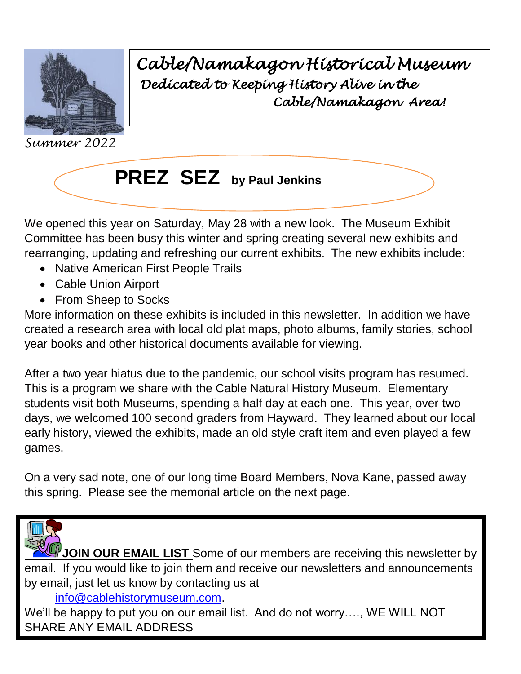

*Cable/Namakagon Historical Museum Dedicated to Keeping History Alive in the Cable/Namakagon Area!* 

*Summer 2022*



We opened this year on Saturday, May 28 with a new look. The Museum Exhibit Committee has been busy this winter and spring creating several new exhibits and rearranging, updating and refreshing our current exhibits. The new exhibits include: **by**

• Native American First People Trails

- Cable Union Airport
- From Sheep to Socks

More information on these exhibits is included in this newsletter. In addition we have created a research area with local old plat maps, photo albums, family stories, school year books and other historical documents available for viewing.

After a two year hiatus due to the pandemic, our school visits program has resumed. This is a program we share with the Cable Natural History Museum. Elementary students visit both Museums, spending a half day at each one. This year, over two days, we welcomed 100 second graders from Hayward. They learned about our local early history, viewed the exhibits, made an old style craft item and even played a few games.

On a very sad note, one of our long time Board Members, Nova Kane, passed away this spring. Please see the memorial article on the next page.



**JOIN OUR EMAIL LIST** Some of our members are receiving this newsletter by email. If you would like to join them and receive our newsletters and announcements by email, just let us know by contacting us at

[info@cablehistorymuseum.com.](mailto:info@cablehistorymuseum.com)

We'll be happy to put you on our email list. And do not worry...., WE WILL NOT SHARE ANY EMAIL ADDRESS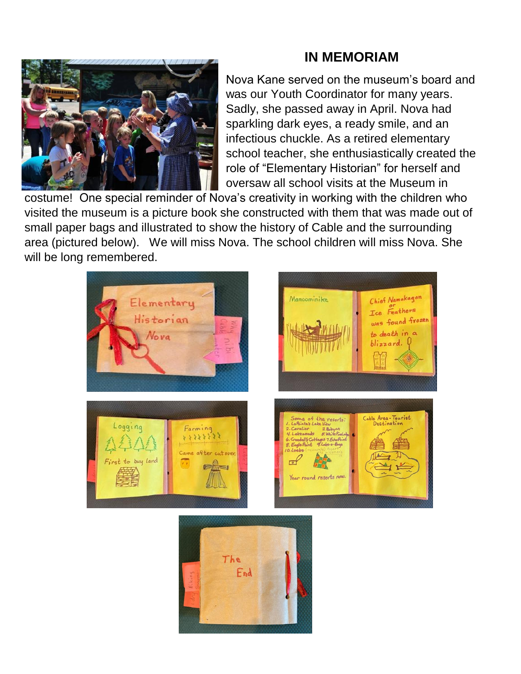## **IN MEMORIAM**



Nova Kane served on the museum's board and was our Youth Coordinator for many years. Sadly, she passed away in April. Nova had sparkling dark eyes, a ready smile, and an infectious chuckle. As a retired elementary school teacher, she enthusiastically created the role of "Elementary Historian" for herself and oversaw all school visits at the Museum in

costume! One special reminder of Nova's creativity in working with the children who visited the museum is a picture book she constructed with them that was made out of small paper bags and illustrated to show the history of Cable and the surrounding area (pictured below). We will miss Nova. The school children will miss Nova. She will be long remembered.



The

End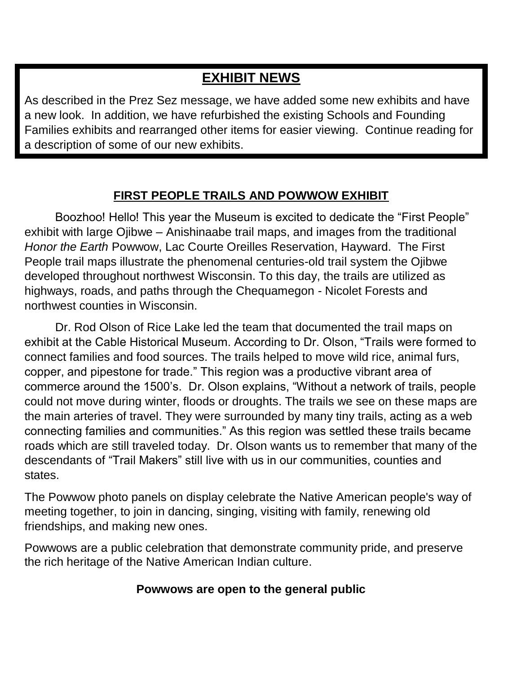# **EXHIBIT NEWS**

As described in the Prez Sez message, we have added some new exhibits and have a new look. In addition, we have refurbished the existing Schools and Founding Families exhibits and rearranged other items for easier viewing. Continue reading for a description of some of our new exhibits.

### **FIRST PEOPLE TRAILS AND POWWOW EXHIBIT**

Boozhoo! Hello! This year the Museum is excited to dedicate the "First People" exhibit with large Ojibwe – Anishinaabe trail maps, and images from the traditional *Honor the Earth* Powwow, Lac Courte Oreilles Reservation, Hayward. The First People trail maps illustrate the phenomenal centuries-old trail system the Ojibwe developed throughout northwest Wisconsin. To this day, the trails are utilized as highways, roads, and paths through the Chequamegon - Nicolet Forests and northwest counties in Wisconsin.

Dr. Rod Olson of Rice Lake led the team that documented the trail maps on exhibit at the Cable Historical Museum. According to Dr. Olson, "Trails were formed to connect families and food sources. The trails helped to move wild rice, animal furs, copper, and pipestone for trade." This region was a productive vibrant area of commerce around the 1500's. Dr. Olson explains, "Without a network of trails, people could not move during winter, floods or droughts. The trails we see on these maps are the main arteries of travel. They were surrounded by many tiny trails, acting as a web connecting families and communities." As this region was settled these trails became roads which are still traveled today. Dr. Olson wants us to remember that many of the descendants of "Trail Makers" still live with us in our communities, counties and states.

The Powwow photo panels on display celebrate the Native American people's way of meeting together, to join in dancing, singing, visiting with family, renewing old friendships, and making new ones.

Powwows are a public celebration that demonstrate community pride, and preserve the rich heritage of the Native American Indian culture.

#### **Powwows are open to the general public**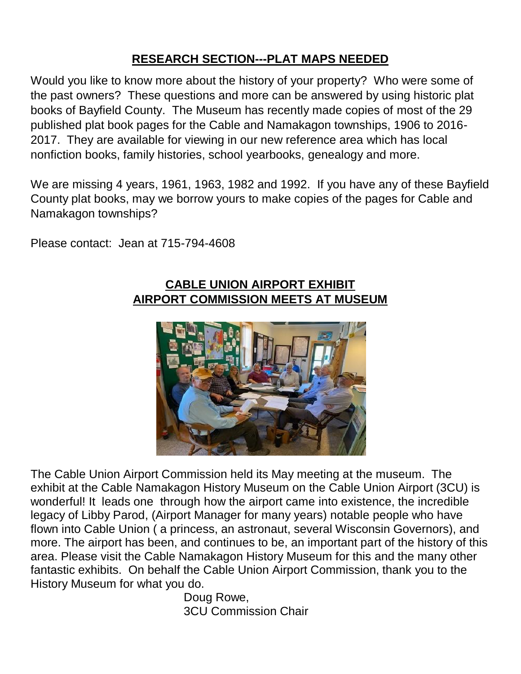## **RESEARCH SECTION---PLAT MAPS NEEDED**

Would you like to know more about the history of your property? Who were some of the past owners? These questions and more can be answered by using historic plat books of Bayfield County. The Museum has recently made copies of most of the 29 published plat book pages for the Cable and Namakagon townships, 1906 to 2016- 2017. They are available for viewing in our new reference area which has local nonfiction books, family histories, school yearbooks, genealogy and more.

We are missing 4 years, 1961, 1963, 1982 and 1992. If you have any of these Bayfield County plat books, may we borrow yours to make copies of the pages for Cable and Namakagon townships?

Please contact: Jean at 715-794-4608

#### **CABLE UNION AIRPORT EXHIBIT AIRPORT COMMISSION MEETS AT MUSEUM**



The Cable Union Airport Commission held its May meeting at the museum. The exhibit at the Cable Namakagon History Museum on the Cable Union Airport (3CU) is wonderful! It leads one through how the airport came into existence, the incredible legacy of Libby Parod, (Airport Manager for many years) notable people who have flown into Cable Union ( a princess, an astronaut, several Wisconsin Governors), and more. The airport has been, and continues to be, an important part of the history of this area. Please visit the Cable Namakagon History Museum for this and the many other fantastic exhibits. On behalf the Cable Union Airport Commission, thank you to the History Museum for what you do.

Doug Rowe, 3CU Commission Chair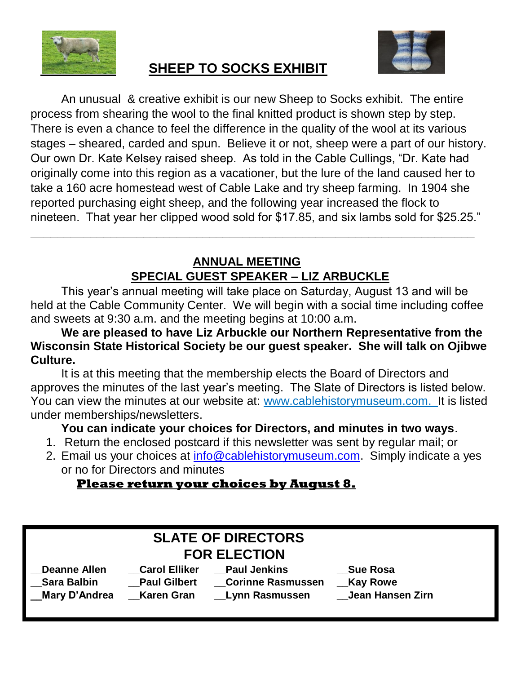



# **SHEEP TO SOCKS EXHIBIT**

An unusual & creative exhibit is our new Sheep to Socks exhibit. The entire process from shearing the wool to the final knitted product is shown step by step. There is even a chance to feel the difference in the quality of the wool at its various stages – sheared, carded and spun. Believe it or not, sheep were a part of our history. Our own Dr. Kate Kelsey raised sheep. As told in the Cable Cullings, "Dr. Kate had originally come into this region as a vacationer, but the lure of the land caused her to take a 160 acre homestead west of Cable Lake and try sheep farming. In 1904 she reported purchasing eight sheep, and the following year increased the flock to nineteen. That year her clipped wood sold for \$17.85, and six lambs sold for \$25.25."

### **ANNUAL MEETING SPECIAL GUEST SPEAKER – LIZ ARBUCKLE**

**\_\_\_\_\_\_\_\_\_\_\_\_\_\_\_\_\_\_\_\_\_\_\_\_\_\_\_\_\_\_\_\_\_\_\_\_\_\_\_\_\_\_\_\_\_\_\_\_\_\_\_\_\_\_\_\_\_\_\_\_\_\_\_\_\_\_\_**

This year's annual meeting will take place on Saturday, August 13 and will be held at the Cable Community Center. We will begin with a social time including coffee and sweets at 9:30 a.m. and the meeting begins at 10:00 a.m.

**We are pleased to have Liz Arbuckle our Northern Representative from the Wisconsin State Historical Society be our guest speaker. She will talk on Ojibwe Culture.**

It is at this meeting that the membership elects the Board of Directors and approves the minutes of the last year's meeting. The Slate of Directors is listed below. You can view the minutes at our website at: www[.cablehistorymuseum.](https://cablehistorymuseum.com/memberships-newsletters)com. It is listed under memberships/newsletters.

#### **You can indicate your choices for Directors, and minutes in two ways**.

- 1. Return the enclosed postcard if this newsletter was sent by regular mail; or
- 2. Email us your choices at [info@cablehistorymuseum.com.](mailto:info@cablehistorymuseum.com) Simply indicate a yes or no for Directors and minutes

#### **Please return your choices by August 8.**

| <b>SLATE OF DIRECTORS</b> |                      |                          |                  |  |
|---------------------------|----------------------|--------------------------|------------------|--|
| <b>FOR ELECTION</b>       |                      |                          |                  |  |
| <b>Deanne Allen</b>       | <b>Carol Elliker</b> | <b>Paul Jenkins</b>      | <b>Sue Rosa</b>  |  |
| <b>Sara Balbin</b>        | <b>Paul Gilbert</b>  | <b>Corinne Rasmussen</b> | _Kay Rowe        |  |
| Mary D'Andrea             | Karen Gran           | <b>Lynn Rasmussen</b>    | Jean Hansen Zirn |  |
|                           |                      |                          |                  |  |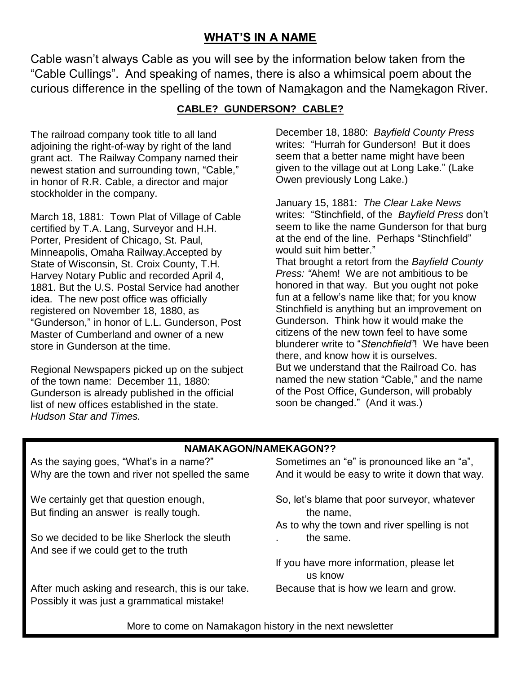#### **WHAT'S IN A NAME**

Cable wasn't always Cable as you will see by the information below taken from the "Cable Cullings". And speaking of names, there is also a whimsical poem about the curious difference in the spelling of the town of Namakagon and the Namekagon River.

#### **CABLE? GUNDERSON? CABLE?**

The railroad company took title to all land adjoining the right-of-way by right of the land grant act. The Railway Company named their newest station and surrounding town, "Cable," in honor of R.R. Cable, a director and major stockholder in the company.

March 18, 1881: Town Plat of Village of Cable certified by T.A. Lang, Surveyor and H.H. Porter, President of Chicago, St. Paul, Minneapolis, Omaha Railway.Accepted by State of Wisconsin, St. Croix County, T.H. Harvey Notary Public and recorded April 4, 1881. But the U.S. Postal Service had another idea. The new post office was officially registered on November 18, 1880, as "Gunderson," in honor of L.L. Gunderson, Post Master of Cumberland and owner of a new store in Gunderson at the time.

Regional Newspapers picked up on the subject of the town name: December 11, 1880: Gunderson is already published in the official list of new offices established in the state. *Hudson Star and Times.* 

December 18, 1880: *Bayfield County Press* writes: "Hurrah for Gunderson! But it does seem that a better name might have been given to the village out at Long Lake." (Lake Owen previously Long Lake.)

January 15, 1881: *The Clear Lake News* writes: "Stinchfield, of the *Bayfield Press* don't seem to like the name Gunderson for that burg at the end of the line. Perhaps "Stinchfield" would suit him better." That brought a retort from the *Bayfield County Press: "*Ahem! We are not ambitious to be honored in that way. But you ought not poke fun at a fellow's name like that; for you know Stinchfield is anything but an improvement on Gunderson. Think how it would make the citizens of the new town feel to have some blunderer write to "*Stenchfield"*! We have been there, and know how it is ourselves. But we understand that the Railroad Co. has named the new station "Cable," and the name of the Post Office, Gunderson, will probably soon be changed." (And it was.)

#### **NAMAKAGON/NAMEKAGON??**

As the saying goes, "What's in a name?" Sometimes an "e" is pronounced like an "a", Why are the town and river not spelled the same And it would be easy to write it down that way.

But finding an answer is really tough. The name, the name,

So we decided to be like Sherlock the sleuth **.** the same. And see if we could get to the truth

After much asking and research, this is our take. Because that is how we learn and grow. Possibly it was just a grammatical mistake!

- We certainly get that question enough, So, let's blame that poor surveyor, whatever
	- As to why the town and river spelling is not

If you have more information, please let us know

More to come on Namakagon history in the next newsletter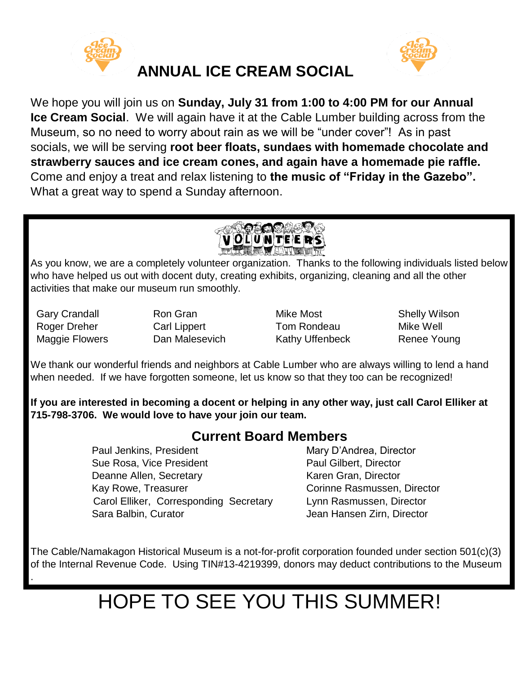



We hope you will join us on **Sunday, July 31 from 1:00 to 4:00 PM for our Annual Ice Cream Social**. We will again have it at the Cable Lumber building across from the Museum, so no need to worry about rain as we will be "under cover"! As in past socials, we will be serving **root beer floats, sundaes with homemade chocolate and strawberry sauces and ice cream cones, and again have a homemade pie raffle.** Come and enjoy a treat and relax listening to **the music of "Friday in the Gazebo".**  What a great way to spend a Sunday afternoon.



As you know, we are a completely volunteer organization. Thanks to the following individuals listed below who have helped us out with docent duty, creating exhibits, organizing, cleaning and all the other activities that make our museum run smoothly.

.

Gary Crandall **Ron Gran** Mike Most Shelly Wilson Roger Dreher Carl Lippert Tom Rondeau Mike Well Maggie Flowers **Dan Malesevich** Kathy Uffenbeck Renee Young

We thank our wonderful friends and neighbors at Cable Lumber who are always willing to lend a hand when needed. If we have forgotten someone, let us know so that they too can be recognized!

**If you are interested in becoming a docent or helping in any other way, just call Carol Elliker at 715-798-3706. We would love to have your join our team.**

# **Current Board Members**

Paul Jenkins, President Mary D'Andrea, Director Sue Rosa, Vice President **Paul Gilbert, Director** Deanne Allen, Secretary Karen Gran, Director Kay Rowe, Treasurer **Communist Corinne Rasmussen, Director**  Carol Elliker, Corresponding Secretary Lynn Rasmussen, Director Sara Balbin, Curator **Jean Hansen Zirn, Director** 

The Cable/Namakagon Historical Museum is a not-for-profit corporation founded under section 501(c)(3) of the Internal Revenue Code. Using TIN#13-4219399, donors may deduct contributions to the Museum

# HOPE TO SEE YOU THIS SUMMER!